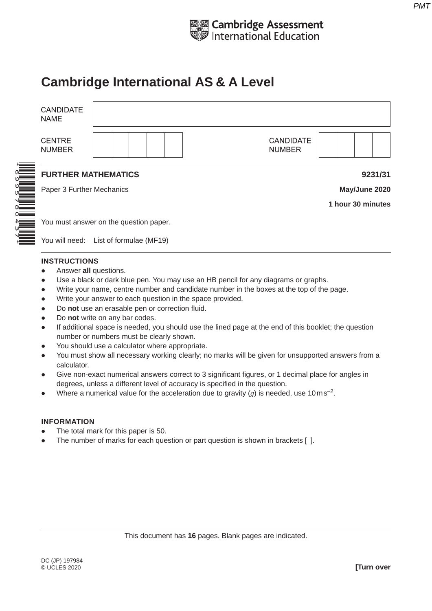

# **Cambridge International AS & A Level**

| <b>CANDIDATE</b><br><b>NAME</b> |                                        |                                   |                   |
|---------------------------------|----------------------------------------|-----------------------------------|-------------------|
| <b>CENTRE</b><br><b>NUMBER</b>  |                                        | <b>CANDIDATE</b><br><b>NUMBER</b> |                   |
| <b>FURTHER MATHEMATICS</b>      |                                        |                                   | 9231/31           |
| Paper 3 Further Mechanics       |                                        |                                   | May/June 2020     |
|                                 |                                        |                                   | 1 hour 30 minutes |
|                                 | You must answer on the question paper. |                                   |                   |
|                                 | You will need: List of formulae (MF19) |                                   |                   |

### **INSTRUCTIONS**

- Answer **all** questions.
- Use a black or dark blue pen. You may use an HB pencil for any diagrams or graphs.
- Write your name, centre number and candidate number in the boxes at the top of the page.
- Write your answer to each question in the space provided.
- Do **not** use an erasable pen or correction fluid.
- Do **not** write on any bar codes.
- If additional space is needed, you should use the lined page at the end of this booklet; the question number or numbers must be clearly shown.
- You should use a calculator where appropriate.
- You must show all necessary working clearly; no marks will be given for unsupported answers from a calculator.
- Give non-exact numerical answers correct to 3 significant figures, or 1 decimal place for angles in degrees, unless a different level of accuracy is specified in the question.
- Where a numerical value for the acceleration due to gravity  $(g)$  is needed, use 10 m s<sup>-2</sup>.

#### **INFORMATION**

- The total mark for this paper is 50.
- The number of marks for each question or part question is shown in brackets [ ].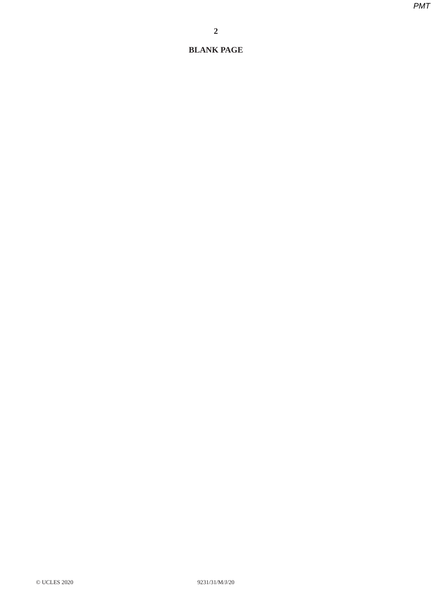## **2**

### **BLANK PAGE**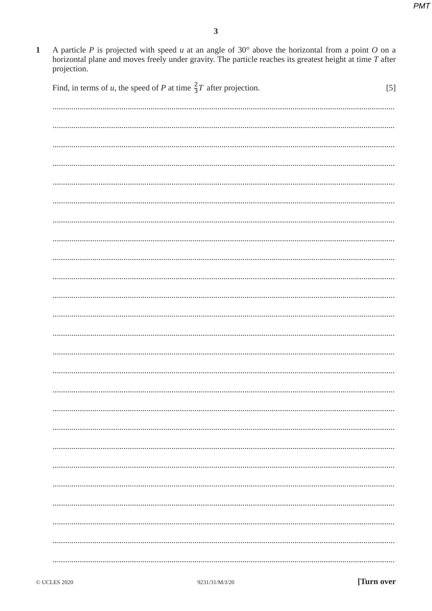A particle *P* is projected with speed *u* at an angle of  $30^{\circ}$  above the horizontal from a point *O* on a horizontal plane and moves freely under gravity. The particle reaches its greatest height at time *T* after  $\mathbf{1}$ projection.

| Find, in terms of u, the speed of P at time $\frac{2}{3}T$ after projection. | $[5]$ |
|------------------------------------------------------------------------------|-------|
|                                                                              |       |
|                                                                              |       |
|                                                                              |       |
|                                                                              |       |
|                                                                              |       |
|                                                                              |       |
|                                                                              |       |
|                                                                              |       |
|                                                                              |       |
|                                                                              |       |
|                                                                              |       |
|                                                                              |       |
|                                                                              |       |
|                                                                              |       |
|                                                                              |       |
|                                                                              |       |
|                                                                              |       |
|                                                                              |       |
|                                                                              |       |
|                                                                              |       |
|                                                                              |       |
|                                                                              |       |
|                                                                              |       |
|                                                                              |       |
|                                                                              |       |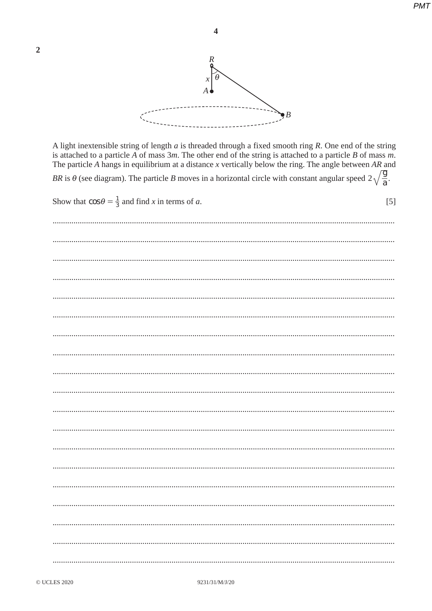$[5]$ 



A light inextensible string of length  $a$  is threaded through a fixed smooth ring  $R$ . One end of the string is attached to a particle  $\overline{A}$  of mass  $3m$ . The other end of the string is attached to a particle  $\overline{B}$  of mass  $\overline{m}$ . The particle A hangs in equilibrium at a distance x vertically below the ring. The angle between AR and

BR is  $\theta$  (see diagram). The particle B moves in a horizontal circle with constant angular speed  $2\sqrt{\frac{g}{a}}$ .

Show that  $\cos \theta = \frac{1}{3}$  and find x in terms of a.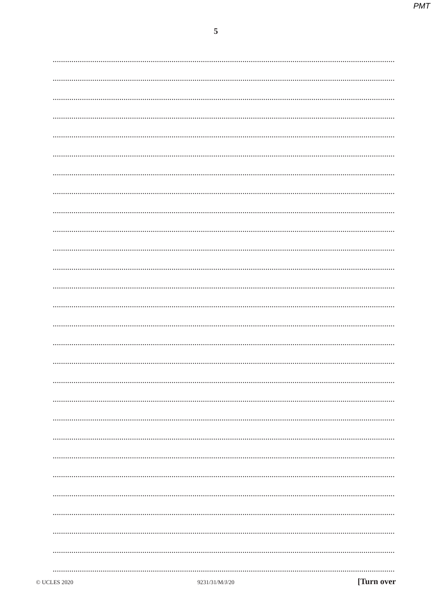[Turn over

9231/31/M/J/20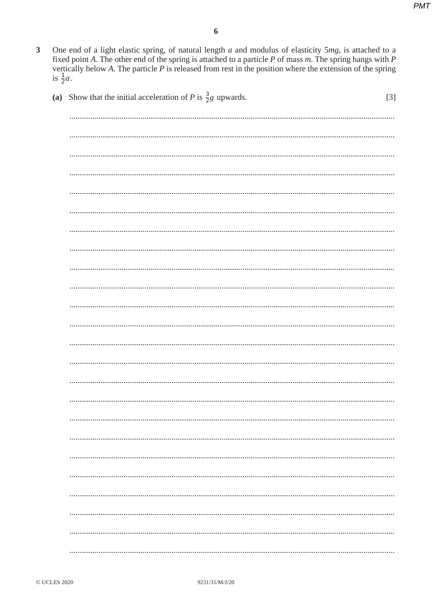One end of a light elastic spring, of natural length  $a$  and modulus of elasticity  $5mg$ , is attached to a fixed point  $A$ . The other end of the spring is attached to a particle  $P$  of mass  $m$ . The spring hangs with  $P$  $\overline{\mathbf{3}}$ vertically below A. The particle  $P$  is released from rest in the position where the extension of the spring is  $\frac{1}{2}a$ .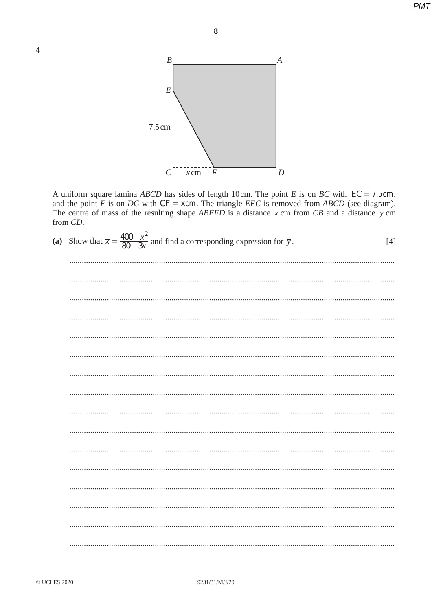

A uniform square lamina *ABCD* has sides of length 10cm. The point *E* is on *BC* with  $EC = 7.5cm$ , and the point F is on DC with  $CF = x$ cm. The triangle EFC is removed from ABCD (see diagram). The centre of mass of the resulting shape *ABEFD* is a distance  $\bar{x}$  cm from *CB* and a distance  $\bar{y}$  cm from CD.

| (a) Show that $\bar{x} = \frac{400 - x^2}{80 - 3x}$ and find a corresponding expression for $\bar{y}$ .<br>$[4]$ |  |
|------------------------------------------------------------------------------------------------------------------|--|
|                                                                                                                  |  |
|                                                                                                                  |  |
|                                                                                                                  |  |
|                                                                                                                  |  |
|                                                                                                                  |  |
|                                                                                                                  |  |
|                                                                                                                  |  |
|                                                                                                                  |  |
|                                                                                                                  |  |
|                                                                                                                  |  |
|                                                                                                                  |  |
|                                                                                                                  |  |
|                                                                                                                  |  |
|                                                                                                                  |  |
|                                                                                                                  |  |
|                                                                                                                  |  |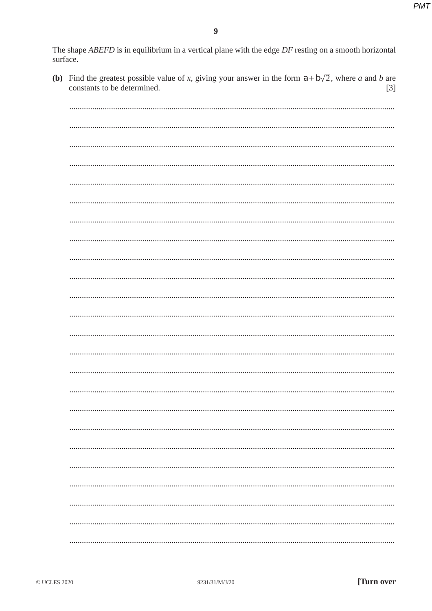The shape ABEFD is in equilibrium in a vertical plane with the edge DF resting on a smooth horizontal surface.

(b) Find the greatest possible value of x, giving your answer in the form  $a+b\sqrt{2}$ , where a and b are constants to be determined.  $[3]$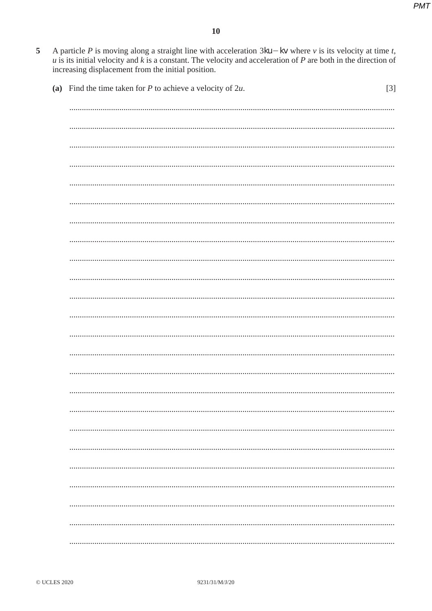A particle P is moving along a straight line with acceleration  $3ku - kv$  where v is its velocity at time t, 5  $u$  is its initial velocity and  $k$  is a constant. The velocity and acceleration of  $P$  are both in the direction of increasing displacement from the initial position.

| (a) Find the time taken for $P$ to achieve a velocity of $2u$ . | $[3]$ |
|-----------------------------------------------------------------|-------|
|                                                                 |       |
|                                                                 |       |
|                                                                 |       |
|                                                                 |       |
|                                                                 |       |
|                                                                 |       |
|                                                                 |       |
|                                                                 |       |
|                                                                 |       |
|                                                                 |       |
|                                                                 |       |
|                                                                 |       |
|                                                                 |       |
|                                                                 |       |
|                                                                 |       |
|                                                                 |       |
|                                                                 |       |
|                                                                 |       |
|                                                                 |       |
|                                                                 |       |
|                                                                 |       |
|                                                                 |       |
|                                                                 |       |
|                                                                 |       |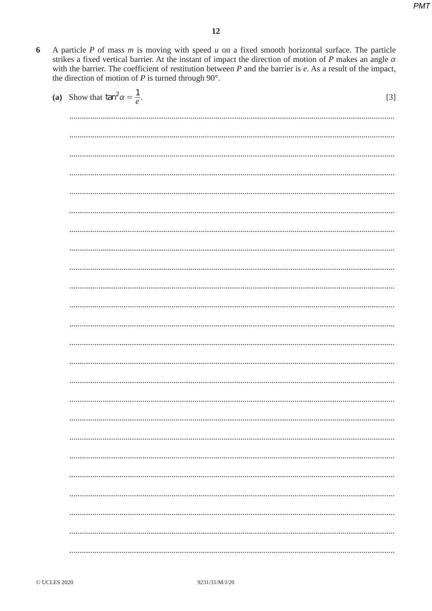A particle  $P$  of mass  $m$  is moving with speed  $u$  on a fixed smooth horizontal surface. The particle 6 strikes a fixed vertical barrier. At the instant of impact the direction of motion of P makes an angle  $\alpha$ with the barrier. The coefficient of restitution between  $P$  and the barrier is  $e$ . As a result of the impact, the direction of motion of  $P$  is turned through 90°.

| (a) Show that $\tan^2 \alpha = \frac{1}{e}$ . | $[3]$ |
|-----------------------------------------------|-------|
|                                               |       |
|                                               |       |
|                                               |       |
|                                               |       |
|                                               |       |
|                                               |       |
|                                               |       |
|                                               |       |
|                                               |       |
|                                               |       |
|                                               |       |
|                                               |       |
|                                               |       |
|                                               |       |
|                                               |       |
|                                               |       |
|                                               |       |
|                                               |       |
|                                               |       |
|                                               |       |
|                                               |       |
|                                               |       |
|                                               |       |
|                                               |       |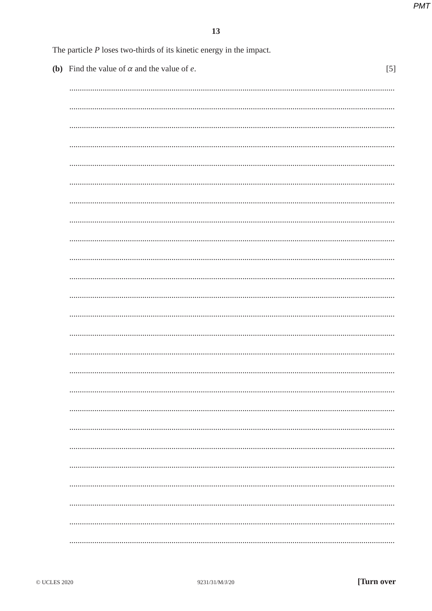$[5]$ 

| The particle $P$ loses two-thirds of its kinetic energy in the impact. |     |
|------------------------------------------------------------------------|-----|
| (b) Find the value of $\alpha$ and the value of e.                     | [5] |
|                                                                        |     |

| <br> |
|------|
|      |
|      |
|      |
|      |
|      |
|      |
|      |
|      |
|      |
|      |
|      |
|      |
|      |
|      |
|      |
|      |
|      |
|      |
|      |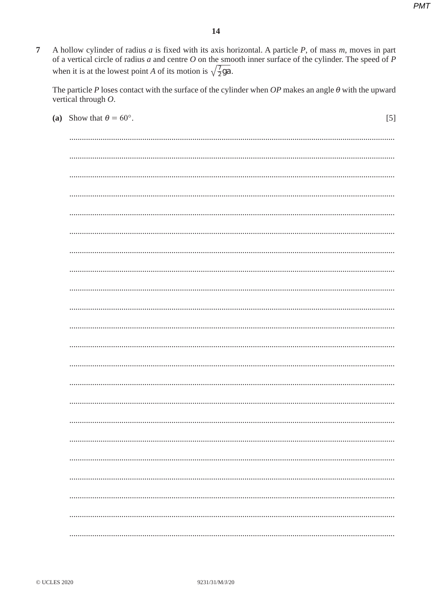$\overline{7}$ A hollow cylinder of radius  $a$  is fixed with its axis horizontal. A particle  $P$ , of mass  $m$ , moves in part of a vertical circle of radius  $a$  and centre  $O$  on the smooth inner surface of the cylinder. The speed of  $P$ when it is at the lowest point A of its motion is  $\sqrt{\frac{7}{2}ga}$ .

The particle P loses contact with the surface of the cylinder when OP makes an angle  $\theta$  with the upward vertical through O.

| (a) Show that $\theta = 60^{\circ}$ . |  |
|---------------------------------------|--|
|                                       |  |
|                                       |  |
|                                       |  |
|                                       |  |
|                                       |  |
|                                       |  |
|                                       |  |
|                                       |  |
|                                       |  |
|                                       |  |
|                                       |  |
|                                       |  |
|                                       |  |
|                                       |  |
|                                       |  |
|                                       |  |
|                                       |  |
|                                       |  |
|                                       |  |
|                                       |  |
|                                       |  |
|                                       |  |